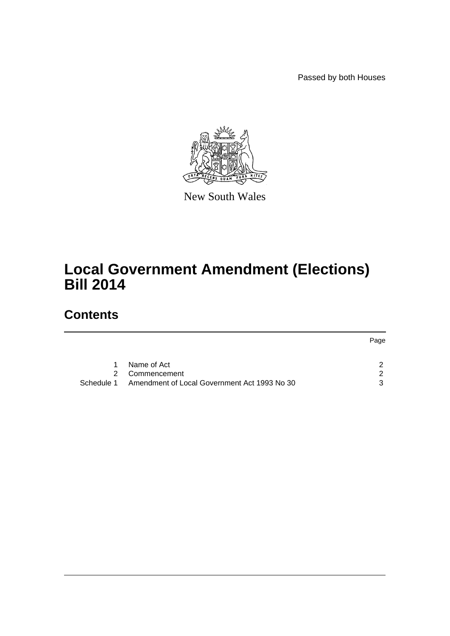Passed by both Houses



New South Wales

# **Local Government Amendment (Elections) Bill 2014**

# **Contents**

|            |                                              | Page |
|------------|----------------------------------------------|------|
| 1          | Name of Act                                  | ົ    |
| 2.         | Commencement                                 | ົາ   |
| Schedule 1 | Amendment of Local Government Act 1993 No 30 | ર    |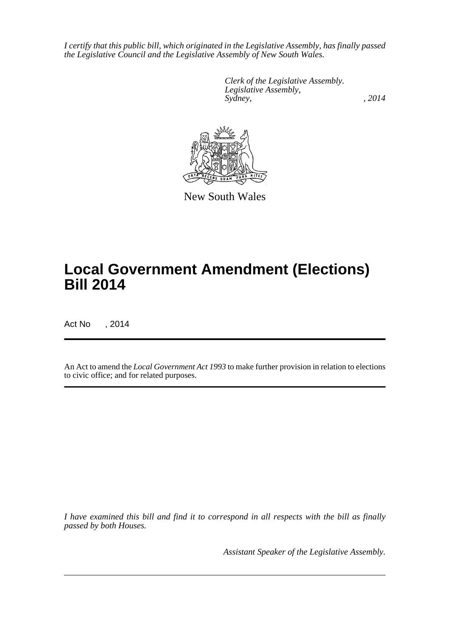*I certify that this public bill, which originated in the Legislative Assembly, has finally passed the Legislative Council and the Legislative Assembly of New South Wales.*

> *Clerk of the Legislative Assembly. Legislative Assembly, Sydney,* , 2014



New South Wales

# **Local Government Amendment (Elections) Bill 2014**

Act No , 2014

An Act to amend the *Local Government Act 1993* to make further provision in relation to elections to civic office; and for related purposes.

*I have examined this bill and find it to correspond in all respects with the bill as finally passed by both Houses.*

*Assistant Speaker of the Legislative Assembly.*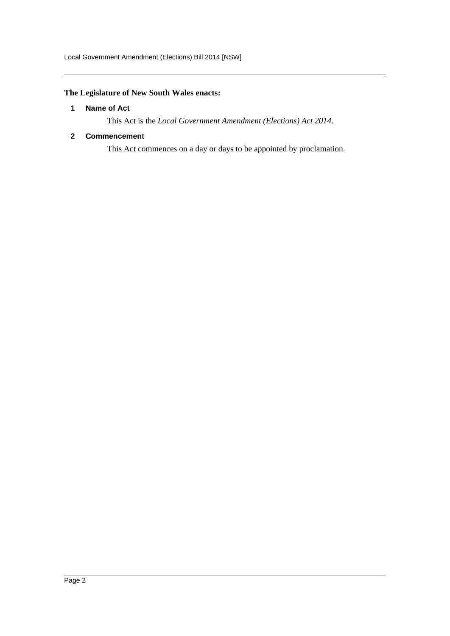# <span id="page-2-0"></span>**The Legislature of New South Wales enacts:**

#### **1 Name of Act**

This Act is the *Local Government Amendment (Elections) Act 2014*.

### <span id="page-2-1"></span>**2 Commencement**

This Act commences on a day or days to be appointed by proclamation.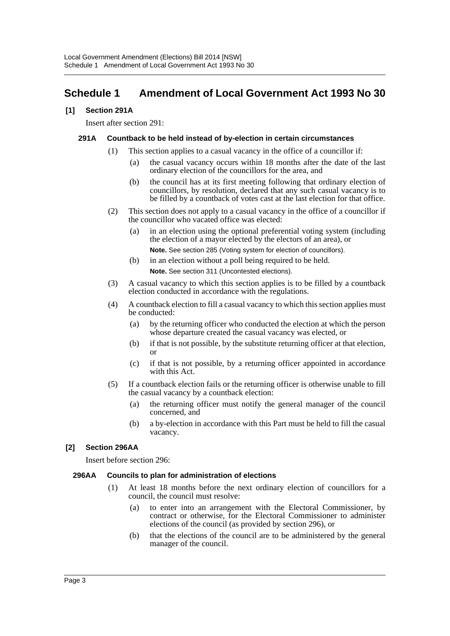# <span id="page-3-0"></span>**Schedule 1 Amendment of Local Government Act 1993 No 30**

#### **[1] Section 291A**

Insert after section 291:

#### **291A Countback to be held instead of by-election in certain circumstances**

- (1) This section applies to a casual vacancy in the office of a councillor if:
	- (a) the casual vacancy occurs within 18 months after the date of the last ordinary election of the councillors for the area, and
	- (b) the council has at its first meeting following that ordinary election of councillors, by resolution, declared that any such casual vacancy is to be filled by a countback of votes cast at the last election for that office.
- (2) This section does not apply to a casual vacancy in the office of a councillor if the councillor who vacated office was elected:
	- (a) in an election using the optional preferential voting system (including the election of a mayor elected by the electors of an area), or
		- **Note.** See section 285 (Voting system for election of councillors).
	- (b) in an election without a poll being required to be held. **Note.** See section 311 (Uncontested elections).
- (3) A casual vacancy to which this section applies is to be filled by a countback
- election conducted in accordance with the regulations.
- (4) A countback election to fill a casual vacancy to which this section applies must be conducted:
	- (a) by the returning officer who conducted the election at which the person whose departure created the casual vacancy was elected, or
	- (b) if that is not possible, by the substitute returning officer at that election, or
	- (c) if that is not possible, by a returning officer appointed in accordance with this Act<sup>1</sup>
- (5) If a countback election fails or the returning officer is otherwise unable to fill the casual vacancy by a countback election:
	- (a) the returning officer must notify the general manager of the council concerned, and
	- (b) a by-election in accordance with this Part must be held to fill the casual vacancy.

# **[2] Section 296AA**

Insert before section 296:

#### **296AA Councils to plan for administration of elections**

- (1) At least 18 months before the next ordinary election of councillors for a council, the council must resolve:
	- (a) to enter into an arrangement with the Electoral Commissioner, by contract or otherwise, for the Electoral Commissioner to administer elections of the council (as provided by section 296), or
	- (b) that the elections of the council are to be administered by the general manager of the council.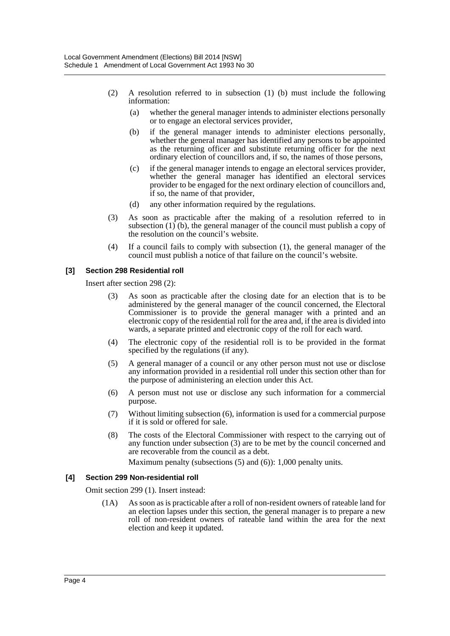- (2) A resolution referred to in subsection (1) (b) must include the following information:
	- (a) whether the general manager intends to administer elections personally or to engage an electoral services provider,
	- (b) if the general manager intends to administer elections personally, whether the general manager has identified any persons to be appointed as the returning officer and substitute returning officer for the next ordinary election of councillors and, if so, the names of those persons,
	- (c) if the general manager intends to engage an electoral services provider, whether the general manager has identified an electoral services provider to be engaged for the next ordinary election of councillors and, if so, the name of that provider,
	- (d) any other information required by the regulations.
- (3) As soon as practicable after the making of a resolution referred to in subsection  $(1)$  (b), the general manager of the council must publish a copy of the resolution on the council's website.
- (4) If a council fails to comply with subsection (1), the general manager of the council must publish a notice of that failure on the council's website.

# **[3] Section 298 Residential roll**

Insert after section 298 (2):

- (3) As soon as practicable after the closing date for an election that is to be administered by the general manager of the council concerned, the Electoral Commissioner is to provide the general manager with a printed and an electronic copy of the residential roll for the area and, if the area is divided into wards, a separate printed and electronic copy of the roll for each ward.
- (4) The electronic copy of the residential roll is to be provided in the format specified by the regulations (if any).
- (5) A general manager of a council or any other person must not use or disclose any information provided in a residential roll under this section other than for the purpose of administering an election under this Act.
- (6) A person must not use or disclose any such information for a commercial purpose.
- (7) Without limiting subsection (6), information is used for a commercial purpose if it is sold or offered for sale.
- (8) The costs of the Electoral Commissioner with respect to the carrying out of any function under subsection (3) are to be met by the council concerned and are recoverable from the council as a debt.

Maximum penalty (subsections (5) and (6)): 1,000 penalty units.

#### **[4] Section 299 Non-residential roll**

Omit section 299 (1). Insert instead:

(1A) As soon as is practicable after a roll of non-resident owners of rateable land for an election lapses under this section, the general manager is to prepare a new roll of non-resident owners of rateable land within the area for the next election and keep it updated.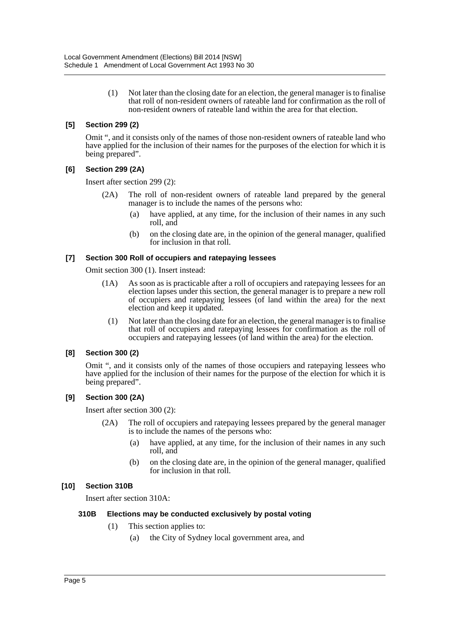(1) Not later than the closing date for an election, the general manager is to finalise that roll of non-resident owners of rateable land for confirmation as the roll of non-resident owners of rateable land within the area for that election.

### **[5] Section 299 (2)**

Omit ", and it consists only of the names of those non-resident owners of rateable land who have applied for the inclusion of their names for the purposes of the election for which it is being prepared".

# **[6] Section 299 (2A)**

Insert after section 299 (2):

- (2A) The roll of non-resident owners of rateable land prepared by the general manager is to include the names of the persons who:
	- (a) have applied, at any time, for the inclusion of their names in any such roll, and
	- (b) on the closing date are, in the opinion of the general manager, qualified for inclusion in that roll.

#### **[7] Section 300 Roll of occupiers and ratepaying lessees**

Omit section 300 (1). Insert instead:

- (1A) As soon as is practicable after a roll of occupiers and ratepaying lessees for an election lapses under this section, the general manager is to prepare a new roll of occupiers and ratepaying lessees (of land within the area) for the next election and keep it updated.
	- (1) Not later than the closing date for an election, the general manager is to finalise that roll of occupiers and ratepaying lessees for confirmation as the roll of occupiers and ratepaying lessees (of land within the area) for the election.

#### **[8] Section 300 (2)**

Omit ", and it consists only of the names of those occupiers and ratepaying lessees who have applied for the inclusion of their names for the purpose of the election for which it is being prepared".

# **[9] Section 300 (2A)**

Insert after section 300 (2):

- (2A) The roll of occupiers and ratepaying lessees prepared by the general manager is to include the names of the persons who:
	- (a) have applied, at any time, for the inclusion of their names in any such roll, and
	- (b) on the closing date are, in the opinion of the general manager, qualified for inclusion in that roll.

# **[10] Section 310B**

Insert after section 310A:

#### **310B Elections may be conducted exclusively by postal voting**

- (1) This section applies to:
	- (a) the City of Sydney local government area, and